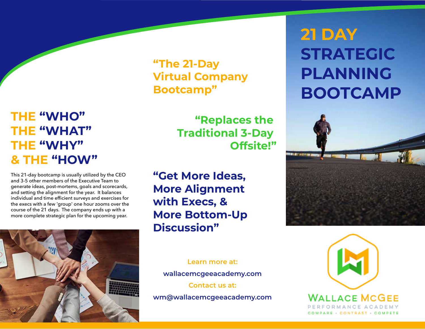# **THE "WHO" THE "WHAT" THE "WHY" & THE "HOW"**

This 21-day bootcamp is usually utilized by the CEO and 3-5 other members of the Executive Team to generate ideas, post-mortems, goals and scorecards, and setting the alignment for the year. It balances individual and time efficient surveys and exercises for the execs with a few 'group' one hour zooms over the course of the 21 days. The company ends up with a more complete strategic plan for the upcoming year.



**"The 21-Day Virtual Company Bootcamp"**

> **"Replaces the Traditional 3-Day Offsite!"**

**"Get More Ideas, More Alignment with Execs, & More Bottom-Up Discussion"**

> **Learn more at: wallacemcgeeacademy.com Contact us at:**

**wm@wallacemcgeeacademy.com**

# **21 DAY STRATEGIC PLANNING BOOTCAMP**